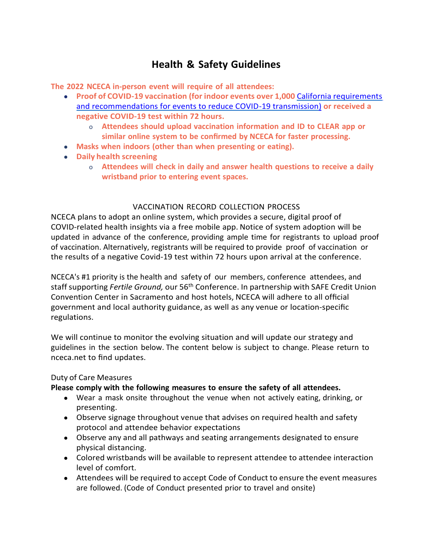## **Health & Safety Guidelines**

**The 2022 NCECA in-person event will require of all attendees:**

- **Proof of COVID-19 vaccination (for indoor events over 1,000** California [requirements](https://covid19.ca.gov/mega-events/#indoor-events) [and recommendations for events to reduce COVID-19 transmission\)](https://covid19.ca.gov/mega-events/#indoor-events) **or received a negative COVID-19 test within 72 hours.**
	- o **Attendees should upload vaccination information and ID to CLEAR app or similar online system to be confirmed by NCECA for faster processing.**
- **Masks when indoors (other than when presenting or eating).**
- **Daily health screening**
	- o **Attendees will check in daily and answer health questions to receive a daily wristband prior to entering event spaces.**

## VACCINATION RECORD COLLECTION PROCESS

NCECA plans to adopt an online system, which provides a secure, digital proof of COVID-related health insights via a free mobile app. Notice of system adoption will be updated in advance of the conference, providing ample time for registrants to upload proof of vaccination. Alternatively, registrants will be required to provide proof of vaccination or the results of a negative Covid-19 test within 72 hours upon arrival at the conference.

NCECA's #1 priority is the health and safety of our members, conference attendees, and staff supporting *Fertile Ground,* our 56th Conference. In partnership with SAFE Credit Union Convention Center in Sacramento and host hotels, NCECA will adhere to all official government and local authority guidance, as well as any venue or location-specific regulations.

We will continue to monitor the evolving situation and will update our strategy and guidelines in the section below. The content below is subject to change. Please return to nceca.net to find updates.

## Duty of Care Measures

## **Please comply with the following measures to ensure the safety of all attendees.**

- Wear a mask onsite throughout the venue when not actively eating, drinking, or presenting.
- Observe signage throughout venue that advises on required health and safety protocol and attendee behavior expectations
- Observe any and all pathways and seating arrangements designated to ensure physical distancing.
- Colored wristbands will be available to represent attendee to attendee interaction level of comfort.
- Attendees will be required to accept Code of Conduct to ensure the event measures are followed. (Code of Conduct presented prior to travel and onsite)